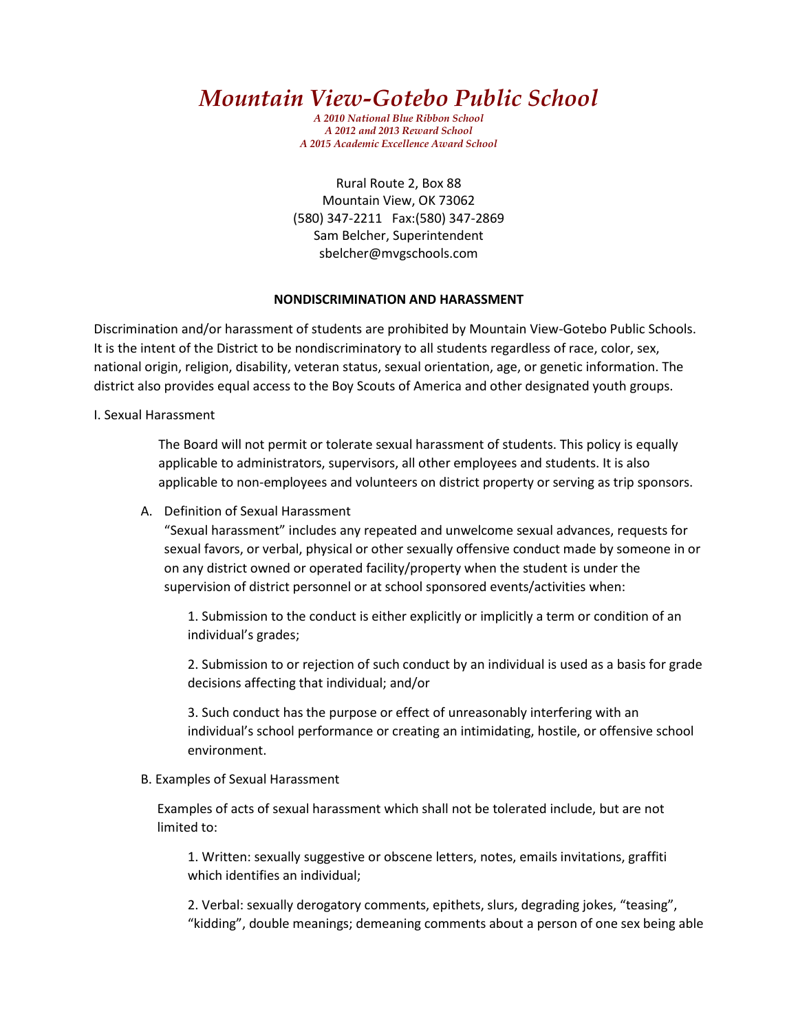# *Mountain View-Gotebo Public School*

*A 2010 National Blue Ribbon School A 2012 and 2013 Reward School A 2015 Academic Excellence Award School*

Rural Route 2, Box 88 Mountain View, OK 73062 (580) 347-2211 Fax:(580) 347-2869 Sam Belcher, Superintendent sbelcher@mvgschools.com

#### **NONDISCRIMINATION AND HARASSMENT**

Discrimination and/or harassment of students are prohibited by Mountain View-Gotebo Public Schools. It is the intent of the District to be nondiscriminatory to all students regardless of race, color, sex, national origin, religion, disability, veteran status, sexual orientation, age, or genetic information. The district also provides equal access to the Boy Scouts of America and other designated youth groups.

I. Sexual Harassment

The Board will not permit or tolerate sexual harassment of students. This policy is equally applicable to administrators, supervisors, all other employees and students. It is also applicable to non-employees and volunteers on district property or serving as trip sponsors.

### A. Definition of Sexual Harassment

"Sexual harassment" includes any repeated and unwelcome sexual advances, requests for sexual favors, or verbal, physical or other sexually offensive conduct made by someone in or on any district owned or operated facility/property when the student is under the supervision of district personnel or at school sponsored events/activities when:

1. Submission to the conduct is either explicitly or implicitly a term or condition of an individual's grades;

2. Submission to or rejection of such conduct by an individual is used as a basis for grade decisions affecting that individual; and/or

3. Such conduct has the purpose or effect of unreasonably interfering with an individual's school performance or creating an intimidating, hostile, or offensive school environment.

B. Examples of Sexual Harassment

Examples of acts of sexual harassment which shall not be tolerated include, but are not limited to:

1. Written: sexually suggestive or obscene letters, notes, emails invitations, graffiti which identifies an individual;

2. Verbal: sexually derogatory comments, epithets, slurs, degrading jokes, "teasing", "kidding", double meanings; demeaning comments about a person of one sex being able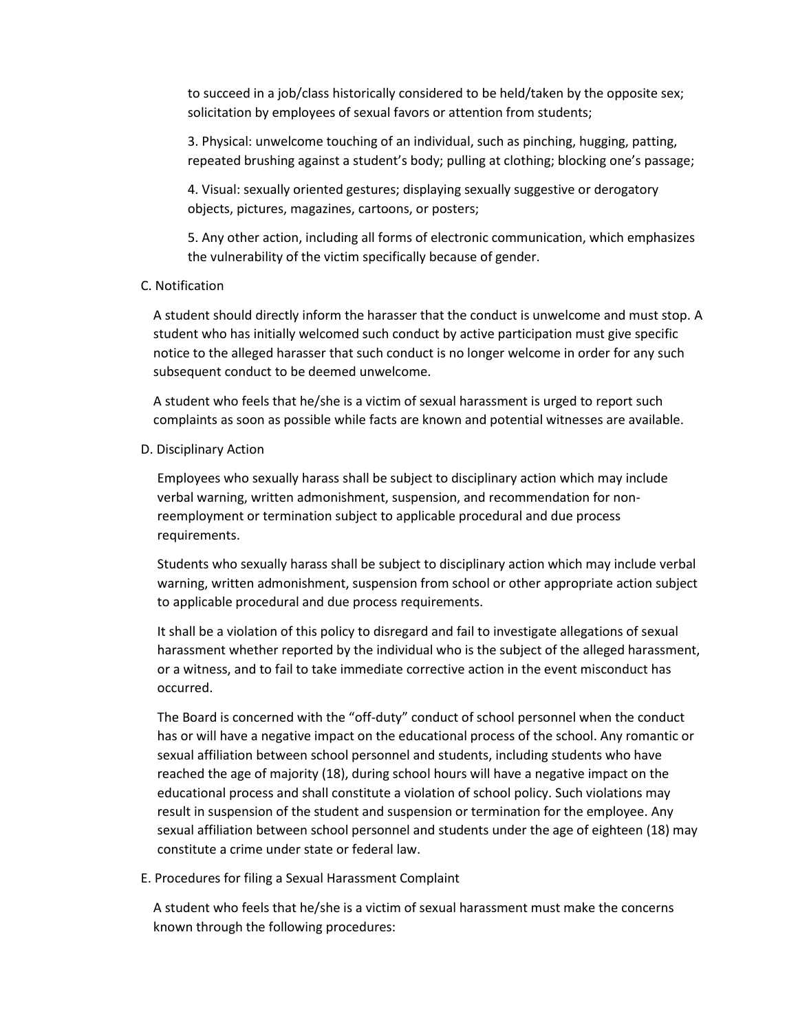to succeed in a job/class historically considered to be held/taken by the opposite sex; solicitation by employees of sexual favors or attention from students;

3. Physical: unwelcome touching of an individual, such as pinching, hugging, patting, repeated brushing against a student's body; pulling at clothing; blocking one's passage;

4. Visual: sexually oriented gestures; displaying sexually suggestive or derogatory objects, pictures, magazines, cartoons, or posters;

5. Any other action, including all forms of electronic communication, which emphasizes the vulnerability of the victim specifically because of gender.

# C. Notification

A student should directly inform the harasser that the conduct is unwelcome and must stop. A student who has initially welcomed such conduct by active participation must give specific notice to the alleged harasser that such conduct is no longer welcome in order for any such subsequent conduct to be deemed unwelcome.

A student who feels that he/she is a victim of sexual harassment is urged to report such complaints as soon as possible while facts are known and potential witnesses are available.

D. Disciplinary Action

Employees who sexually harass shall be subject to disciplinary action which may include verbal warning, written admonishment, suspension, and recommendation for nonreemployment or termination subject to applicable procedural and due process requirements.

Students who sexually harass shall be subject to disciplinary action which may include verbal warning, written admonishment, suspension from school or other appropriate action subject to applicable procedural and due process requirements.

It shall be a violation of this policy to disregard and fail to investigate allegations of sexual harassment whether reported by the individual who is the subject of the alleged harassment, or a witness, and to fail to take immediate corrective action in the event misconduct has occurred.

The Board is concerned with the "off-duty" conduct of school personnel when the conduct has or will have a negative impact on the educational process of the school. Any romantic or sexual affiliation between school personnel and students, including students who have reached the age of majority (18), during school hours will have a negative impact on the educational process and shall constitute a violation of school policy. Such violations may result in suspension of the student and suspension or termination for the employee. Any sexual affiliation between school personnel and students under the age of eighteen (18) may constitute a crime under state or federal law.

E. Procedures for filing a Sexual Harassment Complaint

A student who feels that he/she is a victim of sexual harassment must make the concerns known through the following procedures: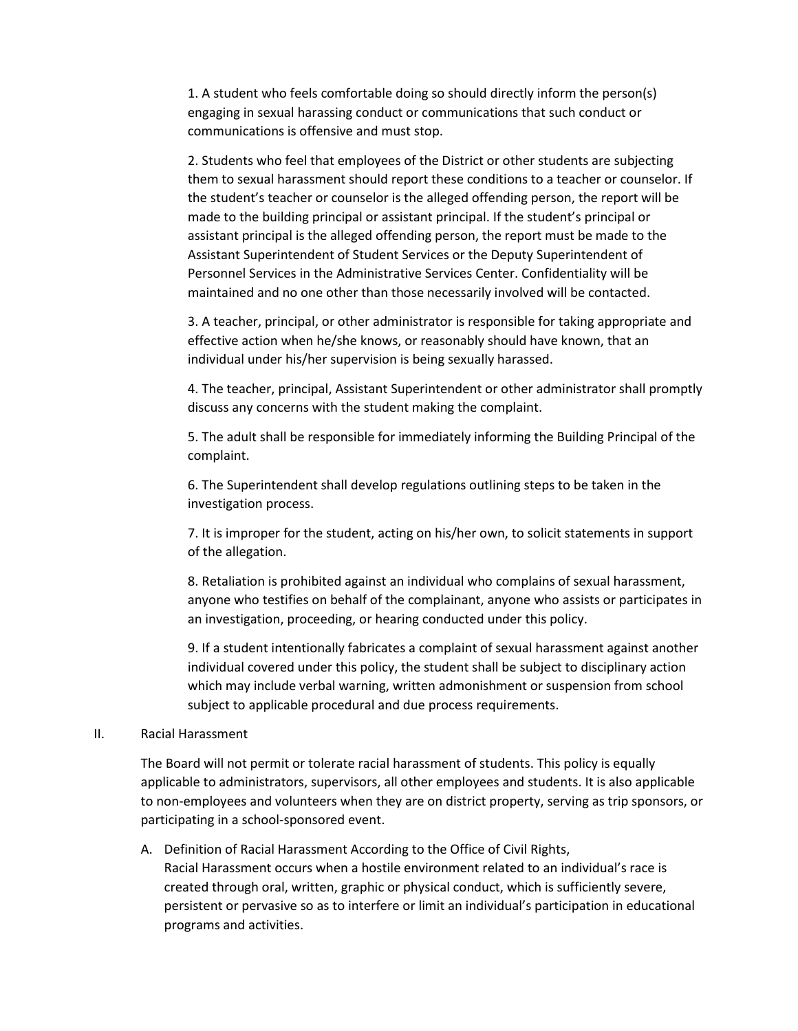1. A student who feels comfortable doing so should directly inform the person(s) engaging in sexual harassing conduct or communications that such conduct or communications is offensive and must stop.

2. Students who feel that employees of the District or other students are subjecting them to sexual harassment should report these conditions to a teacher or counselor. If the student's teacher or counselor is the alleged offending person, the report will be made to the building principal or assistant principal. If the student's principal or assistant principal is the alleged offending person, the report must be made to the Assistant Superintendent of Student Services or the Deputy Superintendent of Personnel Services in the Administrative Services Center. Confidentiality will be maintained and no one other than those necessarily involved will be contacted.

3. A teacher, principal, or other administrator is responsible for taking appropriate and effective action when he/she knows, or reasonably should have known, that an individual under his/her supervision is being sexually harassed.

4. The teacher, principal, Assistant Superintendent or other administrator shall promptly discuss any concerns with the student making the complaint.

5. The adult shall be responsible for immediately informing the Building Principal of the complaint.

6. The Superintendent shall develop regulations outlining steps to be taken in the investigation process.

7. It is improper for the student, acting on his/her own, to solicit statements in support of the allegation.

8. Retaliation is prohibited against an individual who complains of sexual harassment, anyone who testifies on behalf of the complainant, anyone who assists or participates in an investigation, proceeding, or hearing conducted under this policy.

9. If a student intentionally fabricates a complaint of sexual harassment against another individual covered under this policy, the student shall be subject to disciplinary action which may include verbal warning, written admonishment or suspension from school subject to applicable procedural and due process requirements.

#### II. Racial Harassment

The Board will not permit or tolerate racial harassment of students. This policy is equally applicable to administrators, supervisors, all other employees and students. It is also applicable to non-employees and volunteers when they are on district property, serving as trip sponsors, or participating in a school-sponsored event.

A. Definition of Racial Harassment According to the Office of Civil Rights, Racial Harassment occurs when a hostile environment related to an individual's race is created through oral, written, graphic or physical conduct, which is sufficiently severe, persistent or pervasive so as to interfere or limit an individual's participation in educational programs and activities.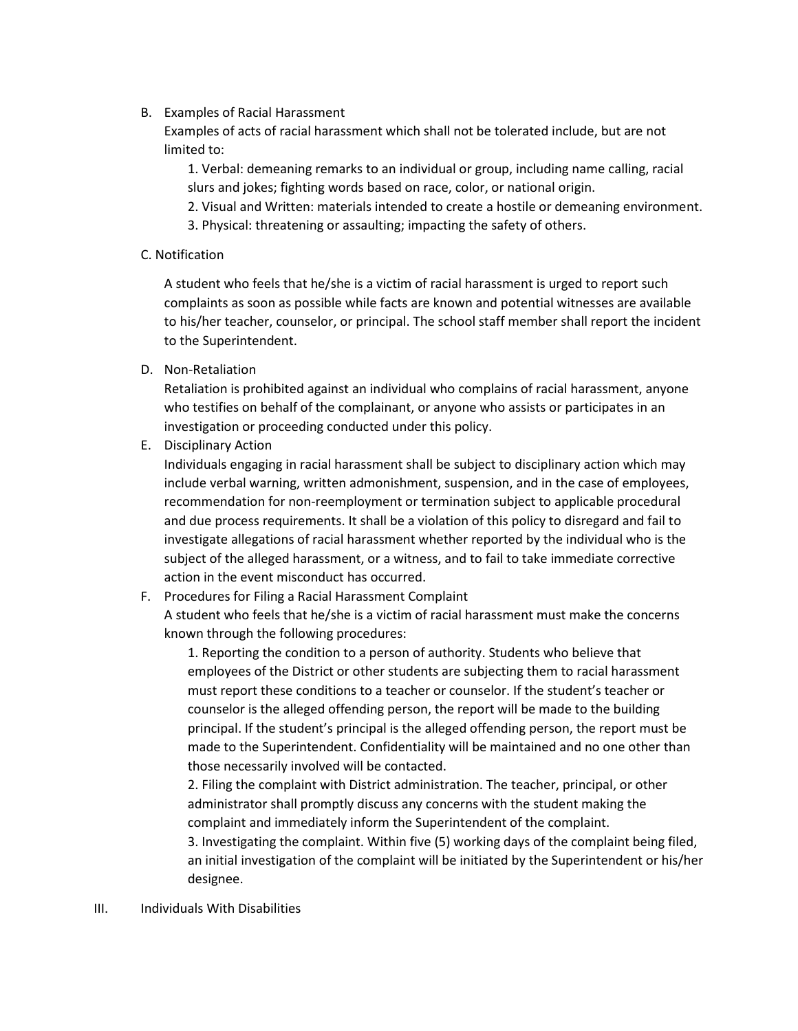# B. Examples of Racial Harassment

Examples of acts of racial harassment which shall not be tolerated include, but are not limited to:

1. Verbal: demeaning remarks to an individual or group, including name calling, racial slurs and jokes; fighting words based on race, color, or national origin.

2. Visual and Written: materials intended to create a hostile or demeaning environment.

3. Physical: threatening or assaulting; impacting the safety of others.

# C. Notification

A student who feels that he/she is a victim of racial harassment is urged to report such complaints as soon as possible while facts are known and potential witnesses are available to his/her teacher, counselor, or principal. The school staff member shall report the incident to the Superintendent.

D. Non-Retaliation

Retaliation is prohibited against an individual who complains of racial harassment, anyone who testifies on behalf of the complainant, or anyone who assists or participates in an investigation or proceeding conducted under this policy.

E. Disciplinary Action

Individuals engaging in racial harassment shall be subject to disciplinary action which may include verbal warning, written admonishment, suspension, and in the case of employees, recommendation for non-reemployment or termination subject to applicable procedural and due process requirements. It shall be a violation of this policy to disregard and fail to investigate allegations of racial harassment whether reported by the individual who is the subject of the alleged harassment, or a witness, and to fail to take immediate corrective action in the event misconduct has occurred.

# F. Procedures for Filing a Racial Harassment Complaint

A student who feels that he/she is a victim of racial harassment must make the concerns known through the following procedures:

1. Reporting the condition to a person of authority. Students who believe that employees of the District or other students are subjecting them to racial harassment must report these conditions to a teacher or counselor. If the student's teacher or counselor is the alleged offending person, the report will be made to the building principal. If the student's principal is the alleged offending person, the report must be made to the Superintendent. Confidentiality will be maintained and no one other than those necessarily involved will be contacted.

2. Filing the complaint with District administration. The teacher, principal, or other administrator shall promptly discuss any concerns with the student making the complaint and immediately inform the Superintendent of the complaint.

3. Investigating the complaint. Within five (5) working days of the complaint being filed, an initial investigation of the complaint will be initiated by the Superintendent or his/her designee.

# III. Individuals With Disabilities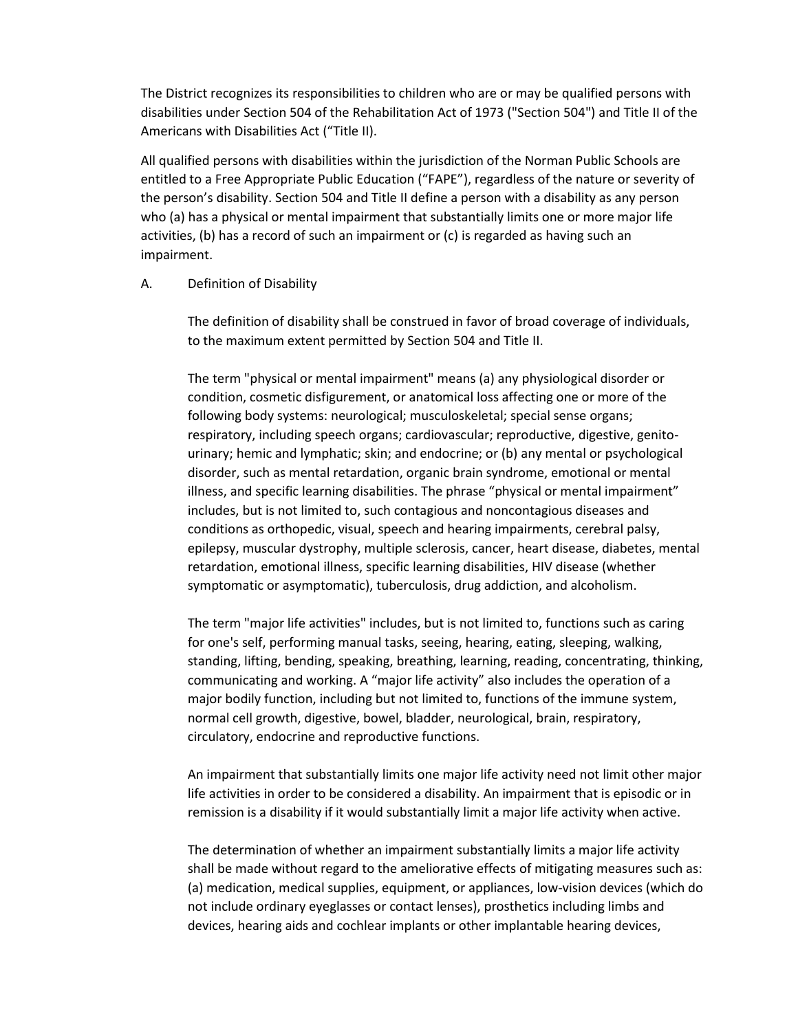The District recognizes its responsibilities to children who are or may be qualified persons with disabilities under Section 504 of the Rehabilitation Act of 1973 ("Section 504") and Title II of the Americans with Disabilities Act ("Title II).

All qualified persons with disabilities within the jurisdiction of the Norman Public Schools are entitled to a Free Appropriate Public Education ("FAPE"), regardless of the nature or severity of the person's disability. Section 504 and Title II define a person with a disability as any person who (a) has a physical or mental impairment that substantially limits one or more major life activities, (b) has a record of such an impairment or (c) is regarded as having such an impairment.

# A. Definition of Disability

The definition of disability shall be construed in favor of broad coverage of individuals, to the maximum extent permitted by Section 504 and Title II.

The term "physical or mental impairment" means (a) any physiological disorder or condition, cosmetic disfigurement, or anatomical loss affecting one or more of the following body systems: neurological; musculoskeletal; special sense organs; respiratory, including speech organs; cardiovascular; reproductive, digestive, genitourinary; hemic and lymphatic; skin; and endocrine; or (b) any mental or psychological disorder, such as mental retardation, organic brain syndrome, emotional or mental illness, and specific learning disabilities. The phrase "physical or mental impairment" includes, but is not limited to, such contagious and noncontagious diseases and conditions as orthopedic, visual, speech and hearing impairments, cerebral palsy, epilepsy, muscular dystrophy, multiple sclerosis, cancer, heart disease, diabetes, mental retardation, emotional illness, specific learning disabilities, HIV disease (whether symptomatic or asymptomatic), tuberculosis, drug addiction, and alcoholism.

The term "major life activities" includes, but is not limited to, functions such as caring for one's self, performing manual tasks, seeing, hearing, eating, sleeping, walking, standing, lifting, bending, speaking, breathing, learning, reading, concentrating, thinking, communicating and working. A "major life activity" also includes the operation of a major bodily function, including but not limited to, functions of the immune system, normal cell growth, digestive, bowel, bladder, neurological, brain, respiratory, circulatory, endocrine and reproductive functions.

An impairment that substantially limits one major life activity need not limit other major life activities in order to be considered a disability. An impairment that is episodic or in remission is a disability if it would substantially limit a major life activity when active.

The determination of whether an impairment substantially limits a major life activity shall be made without regard to the ameliorative effects of mitigating measures such as: (a) medication, medical supplies, equipment, or appliances, low-vision devices (which do not include ordinary eyeglasses or contact lenses), prosthetics including limbs and devices, hearing aids and cochlear implants or other implantable hearing devices,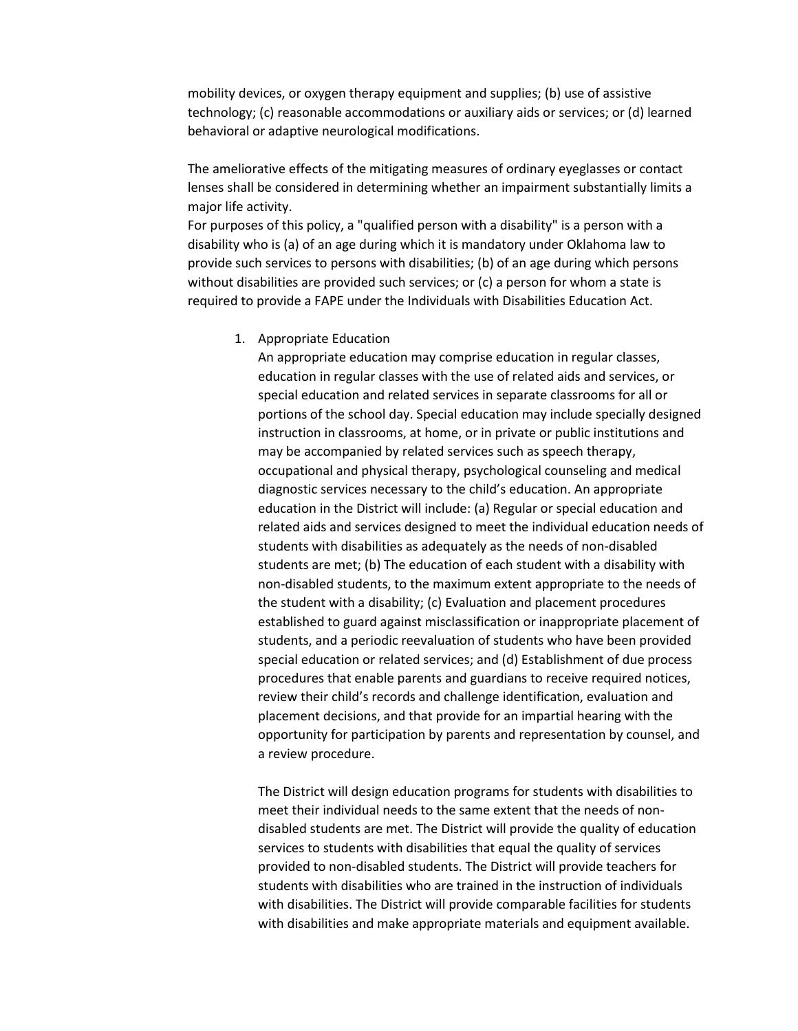mobility devices, or oxygen therapy equipment and supplies; (b) use of assistive technology; (c) reasonable accommodations or auxiliary aids or services; or (d) learned behavioral or adaptive neurological modifications.

The ameliorative effects of the mitigating measures of ordinary eyeglasses or contact lenses shall be considered in determining whether an impairment substantially limits a major life activity.

For purposes of this policy, a "qualified person with a disability" is a person with a disability who is (a) of an age during which it is mandatory under Oklahoma law to provide such services to persons with disabilities; (b) of an age during which persons without disabilities are provided such services; or (c) a person for whom a state is required to provide a FAPE under the Individuals with Disabilities Education Act.

1. Appropriate Education

An appropriate education may comprise education in regular classes, education in regular classes with the use of related aids and services, or special education and related services in separate classrooms for all or portions of the school day. Special education may include specially designed instruction in classrooms, at home, or in private or public institutions and may be accompanied by related services such as speech therapy, occupational and physical therapy, psychological counseling and medical diagnostic services necessary to the child's education. An appropriate education in the District will include: (a) Regular or special education and related aids and services designed to meet the individual education needs of students with disabilities as adequately as the needs of non-disabled students are met; (b) The education of each student with a disability with non-disabled students, to the maximum extent appropriate to the needs of the student with a disability; (c) Evaluation and placement procedures established to guard against misclassification or inappropriate placement of students, and a periodic reevaluation of students who have been provided special education or related services; and (d) Establishment of due process procedures that enable parents and guardians to receive required notices, review their child's records and challenge identification, evaluation and placement decisions, and that provide for an impartial hearing with the opportunity for participation by parents and representation by counsel, and a review procedure.

The District will design education programs for students with disabilities to meet their individual needs to the same extent that the needs of nondisabled students are met. The District will provide the quality of education services to students with disabilities that equal the quality of services provided to non-disabled students. The District will provide teachers for students with disabilities who are trained in the instruction of individuals with disabilities. The District will provide comparable facilities for students with disabilities and make appropriate materials and equipment available.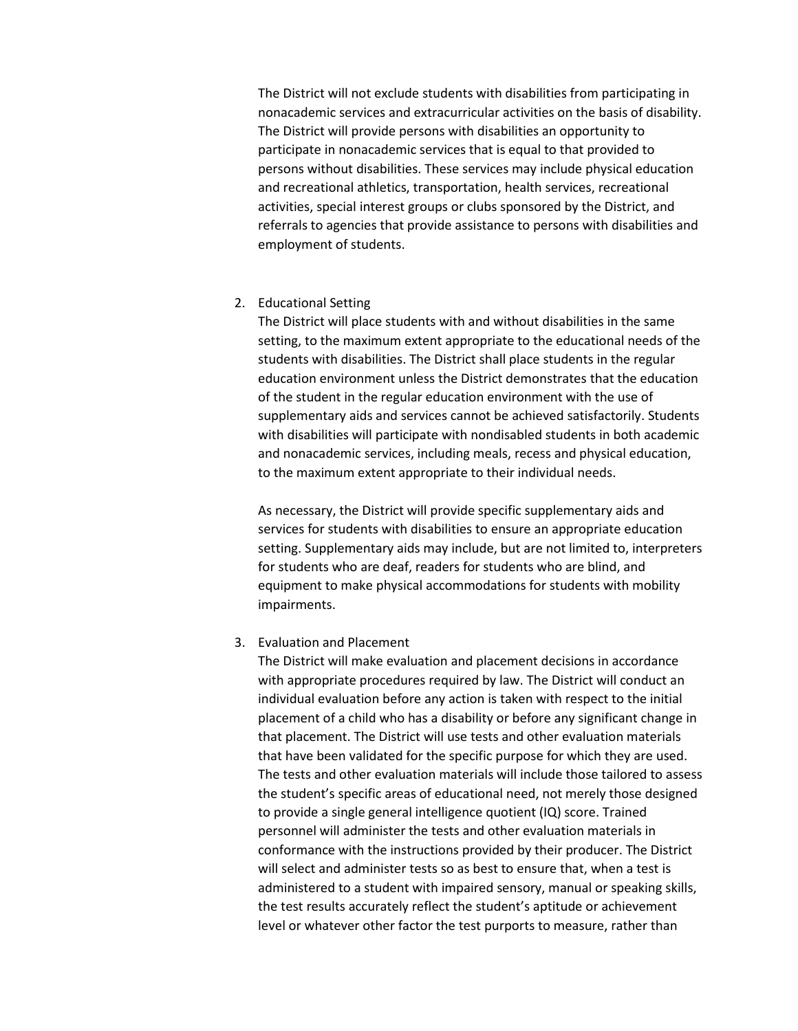The District will not exclude students with disabilities from participating in nonacademic services and extracurricular activities on the basis of disability. The District will provide persons with disabilities an opportunity to participate in nonacademic services that is equal to that provided to persons without disabilities. These services may include physical education and recreational athletics, transportation, health services, recreational activities, special interest groups or clubs sponsored by the District, and referrals to agencies that provide assistance to persons with disabilities and employment of students.

#### 2. Educational Setting

The District will place students with and without disabilities in the same setting, to the maximum extent appropriate to the educational needs of the students with disabilities. The District shall place students in the regular education environment unless the District demonstrates that the education of the student in the regular education environment with the use of supplementary aids and services cannot be achieved satisfactorily. Students with disabilities will participate with nondisabled students in both academic and nonacademic services, including meals, recess and physical education, to the maximum extent appropriate to their individual needs.

As necessary, the District will provide specific supplementary aids and services for students with disabilities to ensure an appropriate education setting. Supplementary aids may include, but are not limited to, interpreters for students who are deaf, readers for students who are blind, and equipment to make physical accommodations for students with mobility impairments.

### 3. Evaluation and Placement

The District will make evaluation and placement decisions in accordance with appropriate procedures required by law. The District will conduct an individual evaluation before any action is taken with respect to the initial placement of a child who has a disability or before any significant change in that placement. The District will use tests and other evaluation materials that have been validated for the specific purpose for which they are used. The tests and other evaluation materials will include those tailored to assess the student's specific areas of educational need, not merely those designed to provide a single general intelligence quotient (IQ) score. Trained personnel will administer the tests and other evaluation materials in conformance with the instructions provided by their producer. The District will select and administer tests so as best to ensure that, when a test is administered to a student with impaired sensory, manual or speaking skills, the test results accurately reflect the student's aptitude or achievement level or whatever other factor the test purports to measure, rather than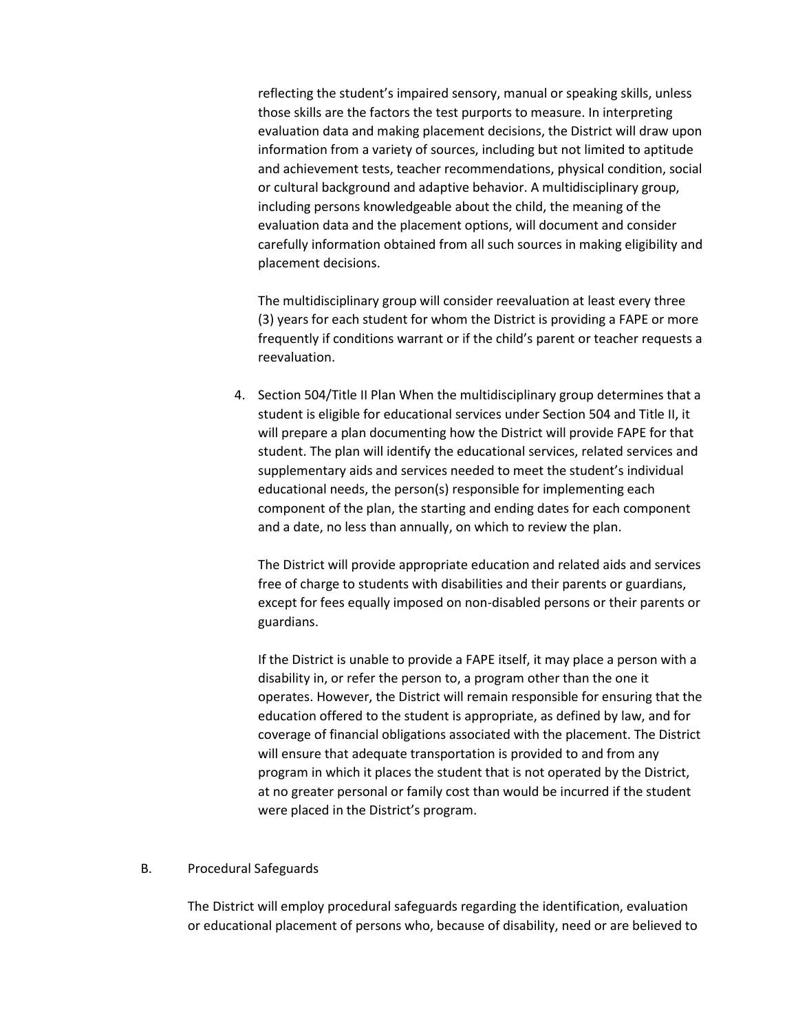reflecting the student's impaired sensory, manual or speaking skills, unless those skills are the factors the test purports to measure. In interpreting evaluation data and making placement decisions, the District will draw upon information from a variety of sources, including but not limited to aptitude and achievement tests, teacher recommendations, physical condition, social or cultural background and adaptive behavior. A multidisciplinary group, including persons knowledgeable about the child, the meaning of the evaluation data and the placement options, will document and consider carefully information obtained from all such sources in making eligibility and placement decisions.

The multidisciplinary group will consider reevaluation at least every three (3) years for each student for whom the District is providing a FAPE or more frequently if conditions warrant or if the child's parent or teacher requests a reevaluation.

4. Section 504/Title II Plan When the multidisciplinary group determines that a student is eligible for educational services under Section 504 and Title II, it will prepare a plan documenting how the District will provide FAPE for that student. The plan will identify the educational services, related services and supplementary aids and services needed to meet the student's individual educational needs, the person(s) responsible for implementing each component of the plan, the starting and ending dates for each component and a date, no less than annually, on which to review the plan.

The District will provide appropriate education and related aids and services free of charge to students with disabilities and their parents or guardians, except for fees equally imposed on non-disabled persons or their parents or guardians.

If the District is unable to provide a FAPE itself, it may place a person with a disability in, or refer the person to, a program other than the one it operates. However, the District will remain responsible for ensuring that the education offered to the student is appropriate, as defined by law, and for coverage of financial obligations associated with the placement. The District will ensure that adequate transportation is provided to and from any program in which it places the student that is not operated by the District, at no greater personal or family cost than would be incurred if the student were placed in the District's program.

# B. Procedural Safeguards

The District will employ procedural safeguards regarding the identification, evaluation or educational placement of persons who, because of disability, need or are believed to